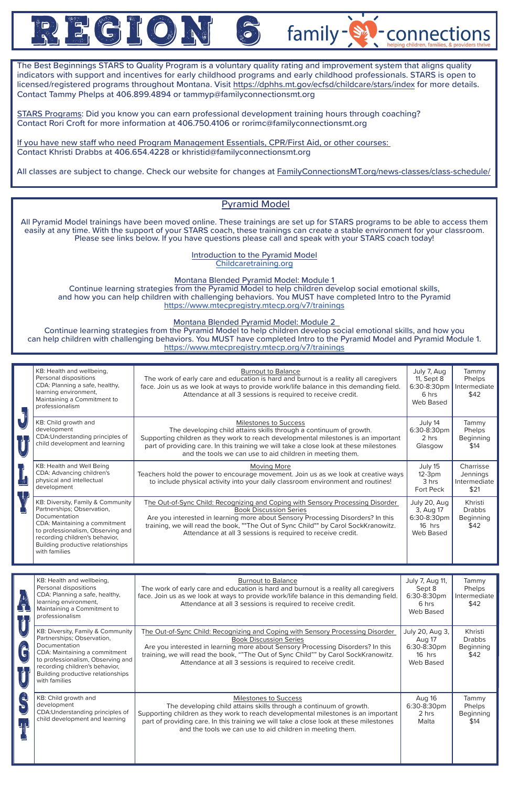|           | KB: Health and wellbeing,<br>Personal dispositions<br>CDA: Planning a safe, healthy,<br>learning environment,<br>Maintaining a Commitment to<br>professionalism                                                                                | <b>Burnout to Balance</b><br>The work of early care and education is hard and burnout is a reality all caregivers<br>face. Join us as we look at ways to provide work/life balance in this demanding field.<br>Attendance at all 3 sessions is required to receive credit.                                                                              | July 7, Aug<br>11, Sept 8<br>6:30-8:30pm<br>6 hrs<br>Web Based  | Tammy<br>Phelps<br>Intermediate<br>\$42              |
|-----------|------------------------------------------------------------------------------------------------------------------------------------------------------------------------------------------------------------------------------------------------|---------------------------------------------------------------------------------------------------------------------------------------------------------------------------------------------------------------------------------------------------------------------------------------------------------------------------------------------------------|-----------------------------------------------------------------|------------------------------------------------------|
| $\bigcup$ | KB: Child growth and<br>development<br>CDA: Understanding principles of<br>child development and learning                                                                                                                                      | <b>Milestones to Success</b><br>The developing child attains skills through a continuum of growth.<br>Supporting children as they work to reach developmental milestones is an important<br>part of providing care. In this training we will take a close look at these milestones<br>and the tools we can use to aid children in meeting them.         | July 14<br>6:30-8:30pm<br>2 hrs<br>Glasgow                      | Tammy<br>Phelps<br>Beginning<br>\$14                 |
|           | KB: Health and Well Being<br>CDA: Advancing children's<br>physical and intellectual<br>development                                                                                                                                             | <b>Moving More</b><br>Teachers hold the power to encourage movement. Join us as we look at creative ways<br>to include physical activity into your daily classroom environment and routines!                                                                                                                                                            | July 15<br>$12-3pm$<br>3 hrs<br>Fort Peck                       | Charrisse<br>Jennings<br>Intermediate<br>\$21        |
|           | KB: Diversity, Family & Community<br>Partnerships; Observation,<br>Documentation<br>CDA: Maintaining a commitment<br>to professionalism, Observing and<br>recording children's behavior,<br>Building productive relationships<br>with families | The Out-of-Sync Child: Recognizing and Coping with Sensory Processing Disorder<br><b>Book Discussion Series</b><br>Are you interested in learning more about Sensory Processing Disorders? In this<br>training, we will read the book, ""The Out of Sync Child"" by Carol SockKranowitz.<br>Attendance at all 3 sessions is required to receive credit. | July 20, Aug<br>3, Aug 17<br>6:30-8:30pm<br>16 hrs<br>Web Based | Khristi<br><b>Drabbs</b><br><b>Beginning</b><br>\$42 |

 The Best Beginnings STARS to Quality Program is a voluntary quality rating and improvement system that aligns quality indicators with support and incentives for early childhood programs and early childhood professionals. STARS is open to licensed/registered programs throughout Montana. Visit https://dphhs.mt.gov/ecfsd/childcare/stars/index for more details. Contact Tammy Phelps at 406.899.4894 or tammyp@familyconnectionsmt.org

family-

 STARS Programs: Did you know you can earn professional development training hours through coaching? Contact Rori Croft for more information at 406.750.4106 or rorimc@familyconnectionsmt.org

 If you have new staff who need Program Management Essentials, CPR/First Aid, or other courses: Contact Khristi Drabbs at 406.654.4228 or khristid@familyconnectionsmt.org

REGION 6

All classes are subject to change. Check our website for changes at FamilyConnectionsMT.org/news-classes/class-schedule/

## Pyramid Model

All Pyramid Model trainings have been moved online. These trainings are set up for STARS programs to be able to access them easily at any time. With the support of your STARS coach, these trainings can create a stable environment for your classroom. Please see links below. If you have questions please call and speak with your STARS coach today!

> Introduction to the Pyramid Model Childcaretraining.org

Montana Blended Pyramid Model: Module 1

Continue learning strategies from the Pyramid Model to help children develop social emotional skills, and how you can help children with challenging behaviors. You MUST have completed Intro to the Pyramid https://www.mtecpregistry.mtecp.org/v7/trainings

## Montana Blended Pyramid Model: Module 2

Continue learning strategies from the Pyramid Model to help children develop social emotional skills, and how you can help children with challenging behaviors. You MUST have completed Intro to the Pyramid Model and Pyramid Module 1. https://www.mtecpregistry.mtecp.org/v7/trainings

| $\frac{1}{2}$<br><b>Tri</b>           | KB: Health and wellbeing,<br>Personal dispositions<br>CDA: Planning a safe, healthy,<br>learning environment,<br>Maintaining a Commitment to<br>professionalism                                                                                | <b>Burnout to Balance</b><br>The work of early care and education is hard and burnout is a reality all caregivers<br>face. Join us as we look at ways to provide work/life balance in this demanding field.<br>Attendance at all 3 sessions is required to receive credit.                                                                              | July 7, Aug 11,<br>Sept 8<br>6:30-8:30pm<br>6 hrs<br>Web Based  | Tammy<br>Phelps<br>Intermediate<br>\$42       |
|---------------------------------------|------------------------------------------------------------------------------------------------------------------------------------------------------------------------------------------------------------------------------------------------|---------------------------------------------------------------------------------------------------------------------------------------------------------------------------------------------------------------------------------------------------------------------------------------------------------------------------------------------------------|-----------------------------------------------------------------|-----------------------------------------------|
| $\bigcup$<br>G<br>T<br>$\sum_{i=1}^n$ | KB: Diversity, Family & Community<br>Partnerships; Observation,<br>Documentation<br>CDA: Maintaining a commitment<br>to professionalism, Observing and<br>recording children's behavior,<br>Building productive relationships<br>with families | The Out-of-Sync Child: Recognizing and Coping with Sensory Processing Disorder<br><b>Book Discussion Series</b><br>Are you interested in learning more about Sensory Processing Disorders? In this<br>training, we will read the book, ""The Out of Sync Child"" by Carol SockKranowitz.<br>Attendance at all 3 sessions is required to receive credit. | July 20, Aug 3,<br>Aug 17<br>6:30-8:30pm<br>16 hrs<br>Web Based | Khristi<br><b>Drabbs</b><br>Beginning<br>\$42 |
| Cole<br>ل<br>اس                       | KB: Child growth and<br>development<br>CDA: Understanding principles of<br>child development and learning                                                                                                                                      | <b>Milestones to Success</b><br>The developing child attains skills through a continuum of growth.<br>Supporting children as they work to reach developmental milestones is an important<br>part of providing care. In this training we will take a close look at these milestones<br>and the tools we can use to aid children in meeting them.         | Aug 16<br>6:30-8:30pm<br>2 hrs<br>Malta                         | Tammy<br>Phelps<br>Beginning<br>\$14          |